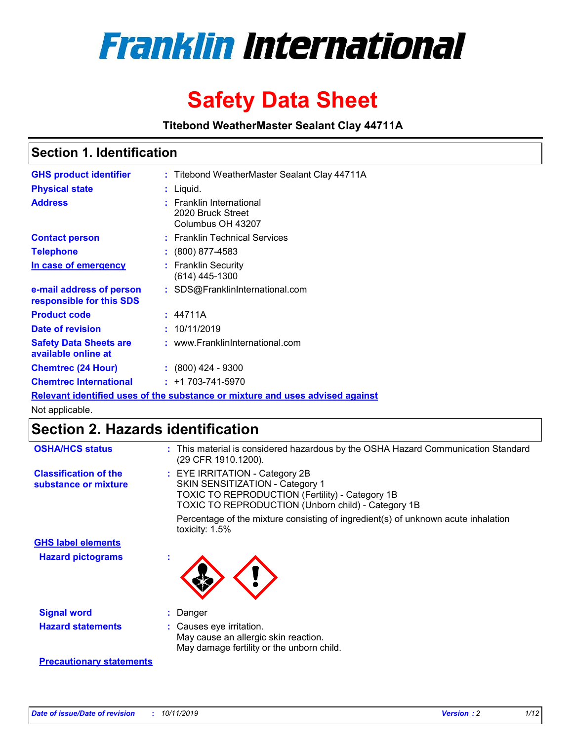

# **Safety Data Sheet**

**Titebond WeatherMaster Sealant Clay 44711A**

### **Section 1. Identification**

| <b>GHS product identifier</b>                        | : Titebond WeatherMaster Sealant Clay 44711A                                  |
|------------------------------------------------------|-------------------------------------------------------------------------------|
| <b>Physical state</b>                                | : Liquid.                                                                     |
| <b>Address</b>                                       | : Franklin International<br>2020 Bruck Street<br>Columbus OH 43207            |
| <b>Contact person</b>                                | : Franklin Technical Services                                                 |
| <b>Telephone</b>                                     | $\colon$ (800) 877-4583                                                       |
| In case of emergency                                 | : Franklin Security<br>(614) 445-1300                                         |
| e-mail address of person<br>responsible for this SDS | : SDS@FranklinInternational.com                                               |
| <b>Product code</b>                                  | : 44711A                                                                      |
| Date of revision                                     | : 10/11/2019                                                                  |
| <b>Safety Data Sheets are</b><br>available online at | : www.FranklinInternational.com                                               |
| <b>Chemtrec (24 Hour)</b>                            | $: (800)$ 424 - 9300                                                          |
| <b>Chemtrec International</b>                        | $: +1703 - 741 - 5970$                                                        |
|                                                      | Relevant identified uses of the substance or mixture and uses advised against |

Not applicable.

## **Section 2. Hazards identification**

| <b>OSHA/HCS status</b>                               | : This material is considered hazardous by the OSHA Hazard Communication Standard<br>(29 CFR 1910.1200).                                                                                 |
|------------------------------------------------------|------------------------------------------------------------------------------------------------------------------------------------------------------------------------------------------|
| <b>Classification of the</b><br>substance or mixture | : EYE IRRITATION - Category 2B<br>SKIN SENSITIZATION - Category 1<br><b>TOXIC TO REPRODUCTION (Fertility) - Category 1B</b><br><b>TOXIC TO REPRODUCTION (Unborn child) - Category 1B</b> |
|                                                      | Percentage of the mixture consisting of ingredient(s) of unknown acute inhalation<br>toxicity: $1.5\%$                                                                                   |
| <b>GHS label elements</b>                            |                                                                                                                                                                                          |
| <b>Hazard pictograms</b>                             |                                                                                                                                                                                          |
| <b>Signal word</b>                                   | : Danger                                                                                                                                                                                 |
| <b>Hazard statements</b>                             | : Causes eye irritation.<br>May cause an allergic skin reaction.<br>May damage fertility or the unborn child.                                                                            |
| <b>Precautionary statements</b>                      |                                                                                                                                                                                          |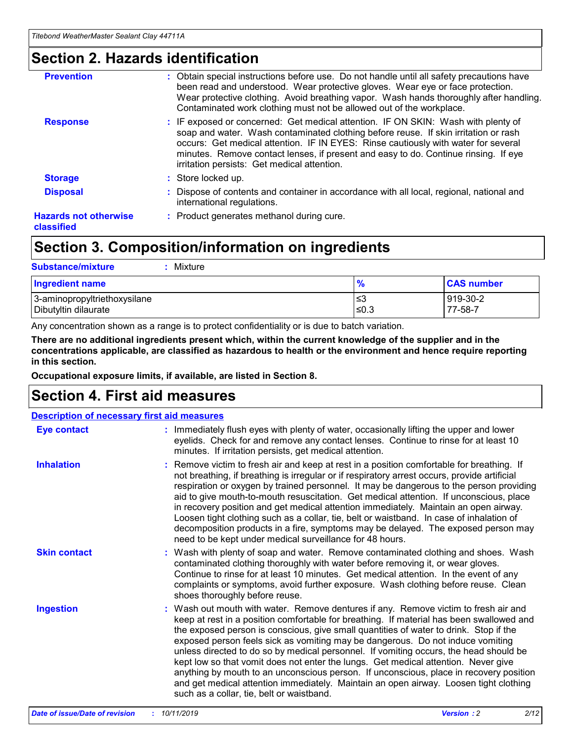### **Section 2. Hazards identification**

| <b>Prevention</b>                          | : Obtain special instructions before use. Do not handle until all safety precautions have<br>been read and understood. Wear protective gloves. Wear eye or face protection.<br>Wear protective clothing. Avoid breathing vapor. Wash hands thoroughly after handling.<br>Contaminated work clothing must not be allowed out of the workplace.                                                        |
|--------------------------------------------|------------------------------------------------------------------------------------------------------------------------------------------------------------------------------------------------------------------------------------------------------------------------------------------------------------------------------------------------------------------------------------------------------|
| <b>Response</b>                            | : IF exposed or concerned: Get medical attention. IF ON SKIN: Wash with plenty of<br>soap and water. Wash contaminated clothing before reuse. If skin irritation or rash<br>occurs: Get medical attention. IF IN EYES: Rinse cautiously with water for several<br>minutes. Remove contact lenses, if present and easy to do. Continue rinsing. If eye<br>irritation persists: Get medical attention. |
| <b>Storage</b>                             | : Store locked up.                                                                                                                                                                                                                                                                                                                                                                                   |
| <b>Disposal</b>                            | : Dispose of contents and container in accordance with all local, regional, national and<br>international regulations.                                                                                                                                                                                                                                                                               |
| <b>Hazards not otherwise</b><br>classified | : Product generates methanol during cure.                                                                                                                                                                                                                                                                                                                                                            |
|                                            |                                                                                                                                                                                                                                                                                                                                                                                                      |

### **Section 3. Composition/information on ingredients**

| <b>Substance/mixture</b><br>Mixture                  |               |                     |
|------------------------------------------------------|---------------|---------------------|
| <b>Ingredient name</b>                               | $\frac{9}{6}$ | <b>CAS number</b>   |
| 3-aminopropyltriethoxysilane<br>Dibutyltin dilaurate | ≤3<br>≤0.3    | 919-30-2<br>77-58-7 |

Any concentration shown as a range is to protect confidentiality or is due to batch variation.

**There are no additional ingredients present which, within the current knowledge of the supplier and in the concentrations applicable, are classified as hazardous to health or the environment and hence require reporting in this section.**

**Occupational exposure limits, if available, are listed in Section 8.**

### **Section 4. First aid measures**

| <b>Description of necessary first aid measures</b> |                                                                                                                                                                                                                                                                                                                                                                                                                                                                                                                                                                                                                                                                                                                                                                           |  |  |  |
|----------------------------------------------------|---------------------------------------------------------------------------------------------------------------------------------------------------------------------------------------------------------------------------------------------------------------------------------------------------------------------------------------------------------------------------------------------------------------------------------------------------------------------------------------------------------------------------------------------------------------------------------------------------------------------------------------------------------------------------------------------------------------------------------------------------------------------------|--|--|--|
| <b>Eye contact</b>                                 | : Immediately flush eyes with plenty of water, occasionally lifting the upper and lower<br>eyelids. Check for and remove any contact lenses. Continue to rinse for at least 10<br>minutes. If irritation persists, get medical attention.                                                                                                                                                                                                                                                                                                                                                                                                                                                                                                                                 |  |  |  |
| <b>Inhalation</b>                                  | : Remove victim to fresh air and keep at rest in a position comfortable for breathing. If<br>not breathing, if breathing is irregular or if respiratory arrest occurs, provide artificial<br>respiration or oxygen by trained personnel. It may be dangerous to the person providing<br>aid to give mouth-to-mouth resuscitation. Get medical attention. If unconscious, place<br>in recovery position and get medical attention immediately. Maintain an open airway.<br>Loosen tight clothing such as a collar, tie, belt or waistband. In case of inhalation of<br>decomposition products in a fire, symptoms may be delayed. The exposed person may<br>need to be kept under medical surveillance for 48 hours.                                                       |  |  |  |
| <b>Skin contact</b>                                | : Wash with plenty of soap and water. Remove contaminated clothing and shoes. Wash<br>contaminated clothing thoroughly with water before removing it, or wear gloves.<br>Continue to rinse for at least 10 minutes. Get medical attention. In the event of any<br>complaints or symptoms, avoid further exposure. Wash clothing before reuse. Clean<br>shoes thoroughly before reuse.                                                                                                                                                                                                                                                                                                                                                                                     |  |  |  |
| <b>Ingestion</b>                                   | : Wash out mouth with water. Remove dentures if any. Remove victim to fresh air and<br>keep at rest in a position comfortable for breathing. If material has been swallowed and<br>the exposed person is conscious, give small quantities of water to drink. Stop if the<br>exposed person feels sick as vomiting may be dangerous. Do not induce vomiting<br>unless directed to do so by medical personnel. If vomiting occurs, the head should be<br>kept low so that vomit does not enter the lungs. Get medical attention. Never give<br>anything by mouth to an unconscious person. If unconscious, place in recovery position<br>and get medical attention immediately. Maintain an open airway. Loosen tight clothing<br>such as a collar, tie, belt or waistband. |  |  |  |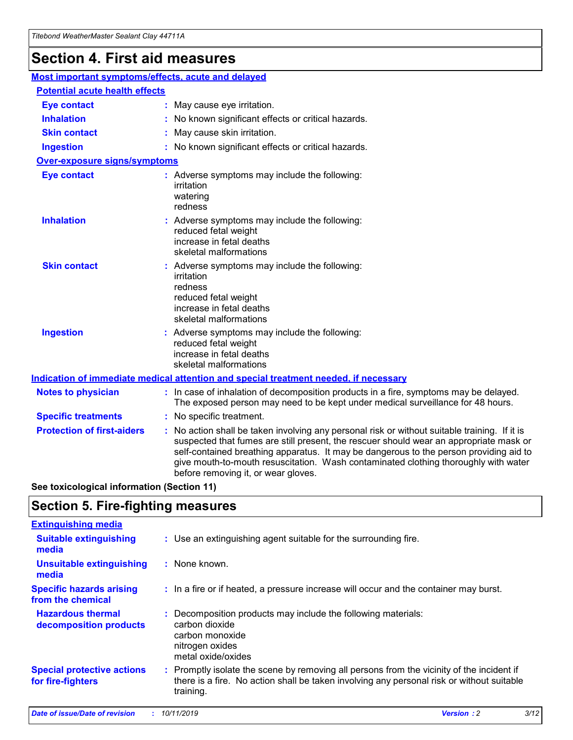## **Section 4. First aid measures**

| Most important symptoms/effects, acute and delayed |                                       |                                                                                                                                                                                                                                                                                                                                                                                                                 |  |  |  |
|----------------------------------------------------|---------------------------------------|-----------------------------------------------------------------------------------------------------------------------------------------------------------------------------------------------------------------------------------------------------------------------------------------------------------------------------------------------------------------------------------------------------------------|--|--|--|
|                                                    | <b>Potential acute health effects</b> |                                                                                                                                                                                                                                                                                                                                                                                                                 |  |  |  |
| <b>Eye contact</b>                                 |                                       | : May cause eye irritation.                                                                                                                                                                                                                                                                                                                                                                                     |  |  |  |
| <b>Inhalation</b>                                  |                                       | : No known significant effects or critical hazards.                                                                                                                                                                                                                                                                                                                                                             |  |  |  |
| <b>Skin contact</b>                                |                                       | : May cause skin irritation.                                                                                                                                                                                                                                                                                                                                                                                    |  |  |  |
| <b>Ingestion</b>                                   |                                       | : No known significant effects or critical hazards.                                                                                                                                                                                                                                                                                                                                                             |  |  |  |
| Over-exposure signs/symptoms                       |                                       |                                                                                                                                                                                                                                                                                                                                                                                                                 |  |  |  |
| <b>Eye contact</b>                                 |                                       | : Adverse symptoms may include the following:<br>irritation<br>watering<br>redness                                                                                                                                                                                                                                                                                                                              |  |  |  |
| <b>Inhalation</b>                                  |                                       | : Adverse symptoms may include the following:<br>reduced fetal weight<br>increase in fetal deaths<br>skeletal malformations                                                                                                                                                                                                                                                                                     |  |  |  |
| <b>Skin contact</b>                                |                                       | : Adverse symptoms may include the following:<br>irritation<br>redness<br>reduced fetal weight<br>increase in fetal deaths<br>skeletal malformations                                                                                                                                                                                                                                                            |  |  |  |
| <b>Ingestion</b>                                   |                                       | : Adverse symptoms may include the following:<br>reduced fetal weight<br>increase in fetal deaths<br>skeletal malformations                                                                                                                                                                                                                                                                                     |  |  |  |
|                                                    |                                       | <b>Indication of immediate medical attention and special treatment needed, if necessary</b>                                                                                                                                                                                                                                                                                                                     |  |  |  |
| <b>Notes to physician</b>                          |                                       | : In case of inhalation of decomposition products in a fire, symptoms may be delayed.<br>The exposed person may need to be kept under medical surveillance for 48 hours.                                                                                                                                                                                                                                        |  |  |  |
| <b>Specific treatments</b>                         |                                       | : No specific treatment.                                                                                                                                                                                                                                                                                                                                                                                        |  |  |  |
| <b>Protection of first-aiders</b>                  |                                       | : No action shall be taken involving any personal risk or without suitable training. If it is<br>suspected that fumes are still present, the rescuer should wear an appropriate mask or<br>self-contained breathing apparatus. It may be dangerous to the person providing aid to<br>give mouth-to-mouth resuscitation. Wash contaminated clothing thoroughly with water<br>before removing it, or wear gloves. |  |  |  |

**See toxicological information (Section 11)**

### **Section 5. Fire-fighting measures**

| <b>Extinguishing media</b>                             |                                                                                                                                                                                                     |
|--------------------------------------------------------|-----------------------------------------------------------------------------------------------------------------------------------------------------------------------------------------------------|
| <b>Suitable extinguishing</b><br>media                 | : Use an extinguishing agent suitable for the surrounding fire.                                                                                                                                     |
| <b>Unsuitable extinguishing</b><br>media               | $:$ None known.                                                                                                                                                                                     |
| <b>Specific hazards arising</b><br>from the chemical   | : In a fire or if heated, a pressure increase will occur and the container may burst.                                                                                                               |
| <b>Hazardous thermal</b><br>decomposition products     | : Decomposition products may include the following materials:<br>carbon dioxide<br>carbon monoxide<br>nitrogen oxides<br>metal oxide/oxides                                                         |
| <b>Special protective actions</b><br>for fire-fighters | : Promptly isolate the scene by removing all persons from the vicinity of the incident if<br>there is a fire. No action shall be taken involving any personal risk or without suitable<br>training. |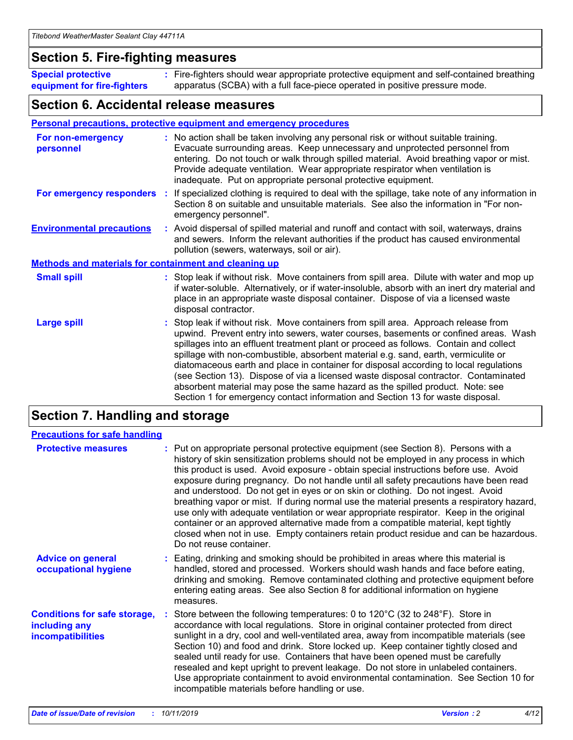### **Section 5. Fire-fighting measures**

**Special protective equipment for fire-fighters** Fire-fighters should wear appropriate protective equipment and self-contained breathing **:** apparatus (SCBA) with a full face-piece operated in positive pressure mode.

### **Section 6. Accidental release measures**

#### **Personal precautions, protective equipment and emergency procedures**

| For non-emergency<br>personnel                               | : No action shall be taken involving any personal risk or without suitable training.<br>Evacuate surrounding areas. Keep unnecessary and unprotected personnel from<br>entering. Do not touch or walk through spilled material. Avoid breathing vapor or mist.<br>Provide adequate ventilation. Wear appropriate respirator when ventilation is<br>inadequate. Put on appropriate personal protective equipment.                                                                                                                                                                                                                                                                                             |
|--------------------------------------------------------------|--------------------------------------------------------------------------------------------------------------------------------------------------------------------------------------------------------------------------------------------------------------------------------------------------------------------------------------------------------------------------------------------------------------------------------------------------------------------------------------------------------------------------------------------------------------------------------------------------------------------------------------------------------------------------------------------------------------|
|                                                              | For emergency responders : If specialized clothing is required to deal with the spillage, take note of any information in<br>Section 8 on suitable and unsuitable materials. See also the information in "For non-<br>emergency personnel".                                                                                                                                                                                                                                                                                                                                                                                                                                                                  |
| <b>Environmental precautions</b>                             | : Avoid dispersal of spilled material and runoff and contact with soil, waterways, drains<br>and sewers. Inform the relevant authorities if the product has caused environmental<br>pollution (sewers, waterways, soil or air).                                                                                                                                                                                                                                                                                                                                                                                                                                                                              |
| <b>Methods and materials for containment and cleaning up</b> |                                                                                                                                                                                                                                                                                                                                                                                                                                                                                                                                                                                                                                                                                                              |
| <b>Small spill</b>                                           | : Stop leak if without risk. Move containers from spill area. Dilute with water and mop up<br>if water-soluble. Alternatively, or if water-insoluble, absorb with an inert dry material and<br>place in an appropriate waste disposal container. Dispose of via a licensed waste<br>disposal contractor.                                                                                                                                                                                                                                                                                                                                                                                                     |
| <b>Large spill</b>                                           | : Stop leak if without risk. Move containers from spill area. Approach release from<br>upwind. Prevent entry into sewers, water courses, basements or confined areas. Wash<br>spillages into an effluent treatment plant or proceed as follows. Contain and collect<br>spillage with non-combustible, absorbent material e.g. sand, earth, vermiculite or<br>diatomaceous earth and place in container for disposal according to local regulations<br>(see Section 13). Dispose of via a licensed waste disposal contractor. Contaminated<br>absorbent material may pose the same hazard as the spilled product. Note: see<br>Section 1 for emergency contact information and Section 13 for waste disposal. |

### **Section 7. Handling and storage**

| <b>Precautions for safe handling</b>                                             |                                                                                                                                                                                                                                                                                                                                                                                                                                                                                                                                                                                                                                                                                                                                                                                                                                                  |
|----------------------------------------------------------------------------------|--------------------------------------------------------------------------------------------------------------------------------------------------------------------------------------------------------------------------------------------------------------------------------------------------------------------------------------------------------------------------------------------------------------------------------------------------------------------------------------------------------------------------------------------------------------------------------------------------------------------------------------------------------------------------------------------------------------------------------------------------------------------------------------------------------------------------------------------------|
| <b>Protective measures</b>                                                       | : Put on appropriate personal protective equipment (see Section 8). Persons with a<br>history of skin sensitization problems should not be employed in any process in which<br>this product is used. Avoid exposure - obtain special instructions before use. Avoid<br>exposure during pregnancy. Do not handle until all safety precautions have been read<br>and understood. Do not get in eyes or on skin or clothing. Do not ingest. Avoid<br>breathing vapor or mist. If during normal use the material presents a respiratory hazard,<br>use only with adequate ventilation or wear appropriate respirator. Keep in the original<br>container or an approved alternative made from a compatible material, kept tightly<br>closed when not in use. Empty containers retain product residue and can be hazardous.<br>Do not reuse container. |
| <b>Advice on general</b><br>occupational hygiene                                 | : Eating, drinking and smoking should be prohibited in areas where this material is<br>handled, stored and processed. Workers should wash hands and face before eating,<br>drinking and smoking. Remove contaminated clothing and protective equipment before<br>entering eating areas. See also Section 8 for additional information on hygiene<br>measures.                                                                                                                                                                                                                                                                                                                                                                                                                                                                                    |
| <b>Conditions for safe storage,</b><br>including any<br><b>incompatibilities</b> | Store between the following temperatures: 0 to 120°C (32 to 248°F). Store in<br>accordance with local regulations. Store in original container protected from direct<br>sunlight in a dry, cool and well-ventilated area, away from incompatible materials (see<br>Section 10) and food and drink. Store locked up. Keep container tightly closed and<br>sealed until ready for use. Containers that have been opened must be carefully<br>resealed and kept upright to prevent leakage. Do not store in unlabeled containers.<br>Use appropriate containment to avoid environmental contamination. See Section 10 for<br>incompatible materials before handling or use.                                                                                                                                                                         |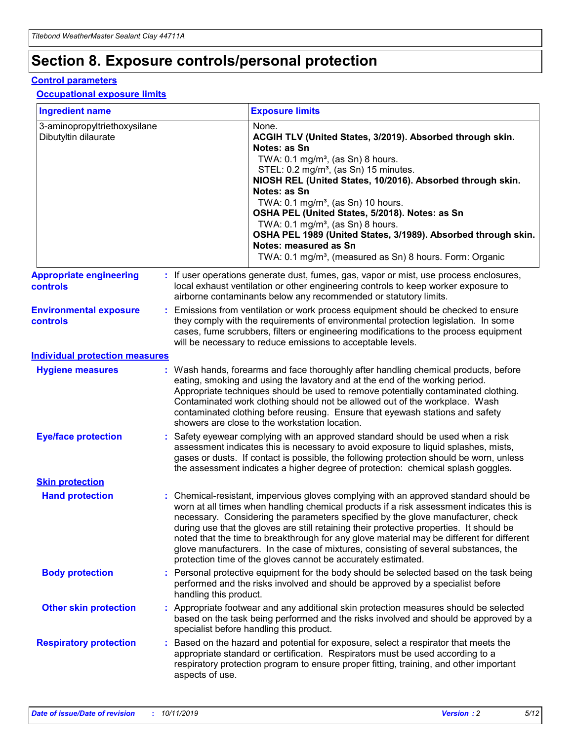## **Section 8. Exposure controls/personal protection**

#### **Control parameters**

#### **Occupational exposure limits**

| <b>Ingredient name</b>                               |    |                                          | <b>Exposure limits</b>                                                                                                                                                                                                                                                                                                                                                                                                                                                                                                                                                                                                 |
|------------------------------------------------------|----|------------------------------------------|------------------------------------------------------------------------------------------------------------------------------------------------------------------------------------------------------------------------------------------------------------------------------------------------------------------------------------------------------------------------------------------------------------------------------------------------------------------------------------------------------------------------------------------------------------------------------------------------------------------------|
| 3-aminopropyltriethoxysilane<br>Dibutyltin dilaurate |    |                                          | None.<br>ACGIH TLV (United States, 3/2019). Absorbed through skin.<br>Notes: as Sn<br>TWA: 0.1 mg/m <sup>3</sup> , (as Sn) 8 hours.<br>STEL: 0.2 mg/m <sup>3</sup> , (as Sn) 15 minutes.<br>NIOSH REL (United States, 10/2016). Absorbed through skin.<br>Notes: as Sn<br>TWA: 0.1 mg/m <sup>3</sup> , (as Sn) 10 hours.<br>OSHA PEL (United States, 5/2018). Notes: as Sn<br>TWA: $0.1 \text{ mg/m}^3$ , (as Sn) 8 hours.<br>OSHA PEL 1989 (United States, 3/1989). Absorbed through skin.<br>Notes: measured as Sn<br>TWA: 0.1 mg/m <sup>3</sup> , (measured as Sn) 8 hours. Form: Organic                           |
| <b>Appropriate engineering</b><br>controls           |    |                                          | : If user operations generate dust, fumes, gas, vapor or mist, use process enclosures,<br>local exhaust ventilation or other engineering controls to keep worker exposure to<br>airborne contaminants below any recommended or statutory limits.                                                                                                                                                                                                                                                                                                                                                                       |
| <b>Environmental exposure</b><br><b>controls</b>     |    |                                          | Emissions from ventilation or work process equipment should be checked to ensure<br>they comply with the requirements of environmental protection legislation. In some<br>cases, fume scrubbers, filters or engineering modifications to the process equipment<br>will be necessary to reduce emissions to acceptable levels.                                                                                                                                                                                                                                                                                          |
| <b>Individual protection measures</b>                |    |                                          |                                                                                                                                                                                                                                                                                                                                                                                                                                                                                                                                                                                                                        |
| <b>Hygiene measures</b>                              |    |                                          | : Wash hands, forearms and face thoroughly after handling chemical products, before<br>eating, smoking and using the lavatory and at the end of the working period.<br>Appropriate techniques should be used to remove potentially contaminated clothing.<br>Contaminated work clothing should not be allowed out of the workplace. Wash<br>contaminated clothing before reusing. Ensure that eyewash stations and safety<br>showers are close to the workstation location.                                                                                                                                            |
| <b>Eye/face protection</b>                           |    |                                          | : Safety eyewear complying with an approved standard should be used when a risk<br>assessment indicates this is necessary to avoid exposure to liquid splashes, mists,<br>gases or dusts. If contact is possible, the following protection should be worn, unless<br>the assessment indicates a higher degree of protection: chemical splash goggles.                                                                                                                                                                                                                                                                  |
| <b>Skin protection</b>                               |    |                                          |                                                                                                                                                                                                                                                                                                                                                                                                                                                                                                                                                                                                                        |
| <b>Hand protection</b>                               |    |                                          | : Chemical-resistant, impervious gloves complying with an approved standard should be<br>worn at all times when handling chemical products if a risk assessment indicates this is<br>necessary. Considering the parameters specified by the glove manufacturer, check<br>during use that the gloves are still retaining their protective properties. It should be<br>noted that the time to breakthrough for any glove material may be different for different<br>glove manufacturers. In the case of mixtures, consisting of several substances, the<br>protection time of the gloves cannot be accurately estimated. |
| <b>Body protection</b>                               |    | handling this product.                   | Personal protective equipment for the body should be selected based on the task being<br>performed and the risks involved and should be approved by a specialist before                                                                                                                                                                                                                                                                                                                                                                                                                                                |
| <b>Other skin protection</b>                         |    | specialist before handling this product. | : Appropriate footwear and any additional skin protection measures should be selected<br>based on the task being performed and the risks involved and should be approved by a                                                                                                                                                                                                                                                                                                                                                                                                                                          |
| <b>Respiratory protection</b>                        | ÷. | aspects of use.                          | Based on the hazard and potential for exposure, select a respirator that meets the<br>appropriate standard or certification. Respirators must be used according to a<br>respiratory protection program to ensure proper fitting, training, and other important                                                                                                                                                                                                                                                                                                                                                         |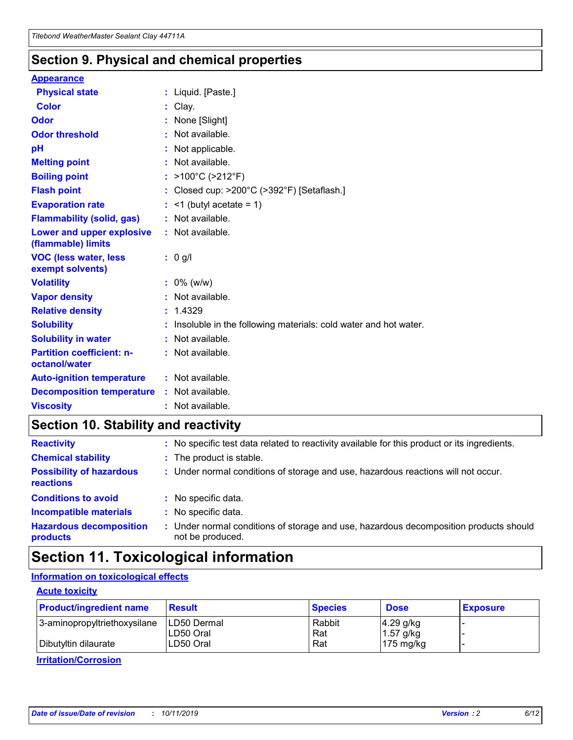### **Section 9. Physical and chemical properties**

#### **Appearance**

| <b>Physical state</b>                             | : Liquid. [Paste.]                                              |
|---------------------------------------------------|-----------------------------------------------------------------|
| Color                                             | Clay.                                                           |
| Odor                                              | : None [Slight]                                                 |
| <b>Odor threshold</b>                             | : Not available.                                                |
| рH                                                | : Not applicable.                                               |
| <b>Melting point</b>                              | : Not available.                                                |
| <b>Boiling point</b>                              | : >100°C (>212°F)                                               |
| <b>Flash point</b>                                | : Closed cup: >200°C (>392°F) [Setaflash.]                      |
| <b>Evaporation rate</b>                           | $:$ <1 (butyl acetate = 1)                                      |
| <b>Flammability (solid, gas)</b>                  | : Not available.                                                |
| Lower and upper explosive<br>(flammable) limits   | : Not available.                                                |
| <b>VOC (less water, less</b><br>exempt solvents)  | : 0 g/l                                                         |
| <b>Volatility</b>                                 | $: 0\%$ (w/w)                                                   |
| <b>Vapor density</b>                              | : Not available.                                                |
| <b>Relative density</b>                           | : 1.4329                                                        |
| <b>Solubility</b>                                 | Insoluble in the following materials: cold water and hot water. |
| <b>Solubility in water</b>                        | : Not available.                                                |
| <b>Partition coefficient: n-</b><br>octanol/water | $:$ Not available.                                              |
| <b>Auto-ignition temperature</b>                  | : Not available.                                                |
| <b>Decomposition temperature</b>                  | : Not available.                                                |
| <b>Viscosity</b>                                  |                                                                 |

### **Section 10. Stability and reactivity**

| <b>Reactivity</b>                            |    | : No specific test data related to reactivity available for this product or its ingredients.            |
|----------------------------------------------|----|---------------------------------------------------------------------------------------------------------|
| <b>Chemical stability</b>                    |    | : The product is stable.                                                                                |
| <b>Possibility of hazardous</b><br>reactions |    | : Under normal conditions of storage and use, hazardous reactions will not occur.                       |
| <b>Conditions to avoid</b>                   |    | : No specific data.                                                                                     |
| <b>Incompatible materials</b>                | ٠. | No specific data.                                                                                       |
| <b>Hazardous decomposition</b><br>products   | ÷. | Under normal conditions of storage and use, hazardous decomposition products should<br>not be produced. |

### **Section 11. Toxicological information**

### **Information on toxicological effects**

#### **Acute toxicity**

| <b>Product/ingredient name</b> | <b>Result</b>           | <b>Species</b> | <b>Dose</b>                | <b>Exposure</b> |
|--------------------------------|-------------------------|----------------|----------------------------|-----------------|
| 3-aminopropyltriethoxysilane   | <b>ILD50 Dermal</b>     | Rabbit         | 4.29 g/kg                  |                 |
| Dibutyltin dilaurate           | ILD50 Oral<br>LD50 Oral | Rat<br>Rat     | $1.57$ g/kg<br>175 $mg/kg$ |                 |
|                                |                         |                |                            |                 |

**Irritation/Corrosion**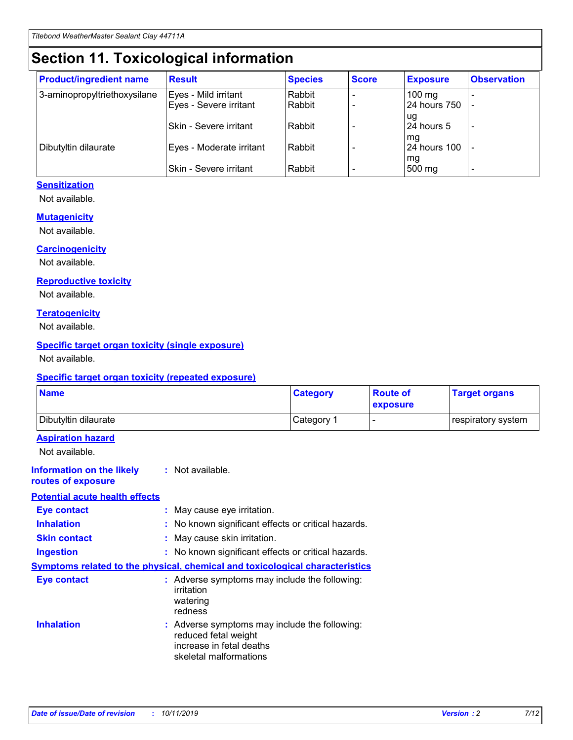## **Section 11. Toxicological information**

| <b>Product/ingredient name</b> | <b>Result</b>            | <b>Species</b> | <b>Score</b> | <b>Exposure</b>           | <b>Observation</b> |
|--------------------------------|--------------------------|----------------|--------------|---------------------------|--------------------|
| 3-aminopropyltriethoxysilane   | Eyes - Mild irritant     | Rabbit         |              | $100$ mg                  |                    |
|                                | Eyes - Severe irritant   | Rabbit         |              | 24 hours 750              |                    |
|                                |                          |                |              | ug                        |                    |
|                                | Skin - Severe irritant   | Rabbit         |              | 24 hours 5                | -                  |
| Dibutyltin dilaurate           | Eyes - Moderate irritant | Rabbit         |              | mq<br><b>24 hours 100</b> |                    |
|                                |                          |                |              | mg                        |                    |
|                                | Skin - Severe irritant   | Rabbit         |              | 500 mg                    |                    |

#### **Sensitization**

Not available.

#### **Mutagenicity**

Not available.

#### **Carcinogenicity**

Not available.

#### **Reproductive toxicity**

Not available.

#### **Teratogenicity**

Not available.

#### **Specific target organ toxicity (single exposure)**

Not available.

#### **Specific target organ toxicity (repeated exposure)**

| <b>Name</b>                                                                         |                                                                            | <b>Category</b>                                     | <b>Route of</b><br>exposure | <b>Target organs</b> |
|-------------------------------------------------------------------------------------|----------------------------------------------------------------------------|-----------------------------------------------------|-----------------------------|----------------------|
| Dibutyltin dilaurate                                                                |                                                                            | Category 1                                          | -                           | respiratory system   |
| <b>Aspiration hazard</b><br>Not available.                                          |                                                                            |                                                     |                             |                      |
| <b>Information on the likely</b><br>routes of exposure                              | : Not available.                                                           |                                                     |                             |                      |
| <b>Potential acute health effects</b>                                               |                                                                            |                                                     |                             |                      |
| <b>Eye contact</b>                                                                  | : May cause eye irritation.                                                |                                                     |                             |                      |
| <b>Inhalation</b>                                                                   |                                                                            | : No known significant effects or critical hazards. |                             |                      |
| <b>Skin contact</b>                                                                 | : May cause skin irritation.                                               |                                                     |                             |                      |
| <b>Ingestion</b>                                                                    |                                                                            | : No known significant effects or critical hazards. |                             |                      |
| <b>Symptoms related to the physical, chemical and toxicological characteristics</b> |                                                                            |                                                     |                             |                      |
| <b>Eye contact</b>                                                                  | irritation<br>watering<br>redness                                          | : Adverse symptoms may include the following:       |                             |                      |
| <b>Inhalation</b>                                                                   | reduced fetal weight<br>increase in fetal deaths<br>skeletal malformations | : Adverse symptoms may include the following:       |                             |                      |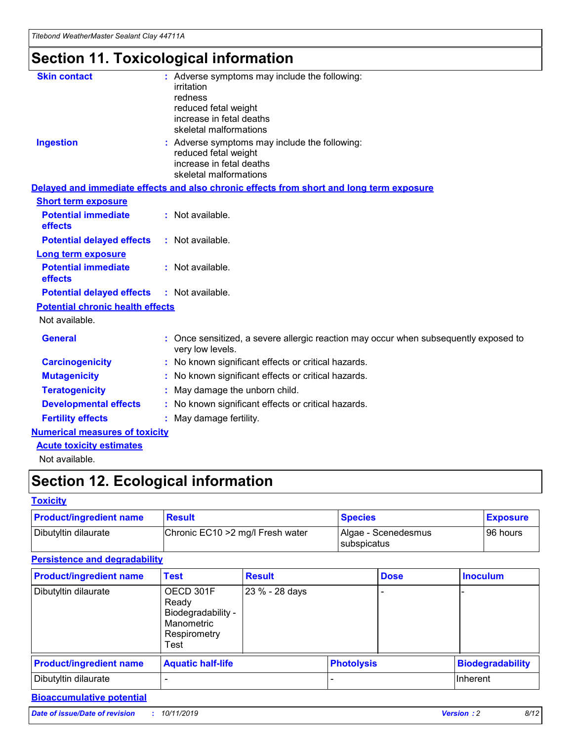## **Section 11. Toxicological information**

| <b>Skin contact</b>                     |                                                                                                          |
|-----------------------------------------|----------------------------------------------------------------------------------------------------------|
|                                         | : Adverse symptoms may include the following:<br>irritation                                              |
|                                         | redness                                                                                                  |
|                                         | reduced fetal weight                                                                                     |
|                                         | increase in fetal deaths                                                                                 |
|                                         | skeletal malformations                                                                                   |
| <b>Ingestion</b>                        | : Adverse symptoms may include the following:                                                            |
|                                         | reduced fetal weight                                                                                     |
|                                         | increase in fetal deaths                                                                                 |
|                                         | skeletal malformations                                                                                   |
|                                         | Delayed and immediate effects and also chronic effects from short and long term exposure                 |
| <b>Short term exposure</b>              |                                                                                                          |
| <b>Potential immediate</b>              | : Not available.                                                                                         |
| effects                                 |                                                                                                          |
| <b>Potential delayed effects</b>        | : Not available.                                                                                         |
| <b>Long term exposure</b>               |                                                                                                          |
| <b>Potential immediate</b>              | : Not available.                                                                                         |
| effects                                 |                                                                                                          |
| <b>Potential delayed effects</b>        | : Not available.                                                                                         |
| <b>Potential chronic health effects</b> |                                                                                                          |
| Not available.                          |                                                                                                          |
| <b>General</b>                          | : Once sensitized, a severe allergic reaction may occur when subsequently exposed to<br>very low levels. |
| <b>Carcinogenicity</b>                  | : No known significant effects or critical hazards.                                                      |
| <b>Mutagenicity</b>                     | No known significant effects or critical hazards.                                                        |
| <b>Teratogenicity</b>                   | May damage the unborn child.                                                                             |
| <b>Developmental effects</b>            | No known significant effects or critical hazards.                                                        |
| <b>Fertility effects</b>                | : May damage fertility.                                                                                  |
| <b>Numerical measures of toxicity</b>   |                                                                                                          |
| <b>Acute toxicity estimates</b>         |                                                                                                          |
|                                         |                                                                                                          |

Not available.

## **Section 12. Ecological information**

#### **Toxicity**

| <b>Product/ingredient name</b> | <b>Result</b>                     | <b>Species</b>                       | <b>Exposure</b> |
|--------------------------------|-----------------------------------|--------------------------------------|-----------------|
| Dibutyltin dilaurate           | Chronic EC10 > 2 mg/l Fresh water | Algae - Scenedesmus<br>I subspicatus | l 96 hours i    |

### **Persistence and degradability**

| <b>Product/ingredient name</b> | <b>Test</b>                                                                    | <b>Result</b>  |                   | <b>Dose</b> | <b>Inoculum</b>         |
|--------------------------------|--------------------------------------------------------------------------------|----------------|-------------------|-------------|-------------------------|
| Dibutyltin dilaurate           | OECD 301F<br>Ready<br>Biodegradability -<br>Manometric<br>Respirometry<br>Test | 23 % - 28 days |                   |             |                         |
| <b>Product/ingredient name</b> | <b>Aquatic half-life</b>                                                       |                | <b>Photolysis</b> |             | <b>Biodegradability</b> |
| Dibutyltin dilaurate           |                                                                                |                |                   |             | Inherent                |

### **Bioaccumulative potential**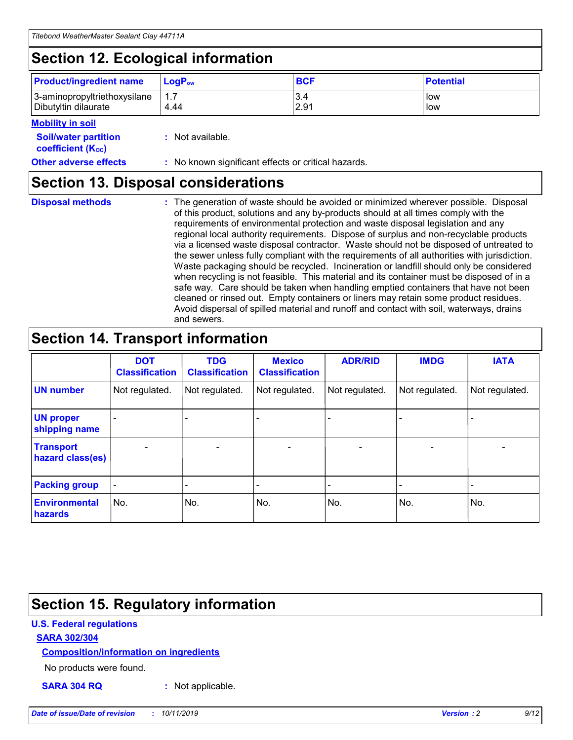## **Section 12. Ecological information**

| <b>Product/ingredient name</b> | $LoaPow$ | <b>BCF</b> | <b>Potential</b> |
|--------------------------------|----------|------------|------------------|
| 3-aminopropyltriethoxysilane   | 1.7      | 3.4        | low              |
| Dibutyltin dilaurate           | 4.44     | 2.91       | low              |

#### **Mobility in soil**

| <b>Soil/water partition</b><br>coefficient (K <sub>oc</sub> ) | : Not available.                                    |
|---------------------------------------------------------------|-----------------------------------------------------|
| <b>Other adverse effects</b>                                  | : No known significant effects or critical hazards. |

### **Section 13. Disposal considerations**

**Disposal methods :**

The generation of waste should be avoided or minimized wherever possible. Disposal of this product, solutions and any by-products should at all times comply with the requirements of environmental protection and waste disposal legislation and any regional local authority requirements. Dispose of surplus and non-recyclable products via a licensed waste disposal contractor. Waste should not be disposed of untreated to the sewer unless fully compliant with the requirements of all authorities with jurisdiction. Waste packaging should be recycled. Incineration or landfill should only be considered when recycling is not feasible. This material and its container must be disposed of in a safe way. Care should be taken when handling emptied containers that have not been cleaned or rinsed out. Empty containers or liners may retain some product residues. Avoid dispersal of spilled material and runoff and contact with soil, waterways, drains and sewers.

## **Section 14. Transport information**

|                                      | <b>DOT</b><br><b>Classification</b> | <b>TDG</b><br><b>Classification</b> | <b>Mexico</b><br><b>Classification</b> | <b>ADR/RID</b> | <b>IMDG</b>              | <b>IATA</b>              |
|--------------------------------------|-------------------------------------|-------------------------------------|----------------------------------------|----------------|--------------------------|--------------------------|
| <b>UN number</b>                     | Not regulated.                      | Not regulated.                      | Not regulated.                         | Not regulated. | Not regulated.           | Not regulated.           |
| <b>UN proper</b><br>shipping name    | $\blacksquare$                      |                                     |                                        |                |                          |                          |
| <b>Transport</b><br>hazard class(es) | $\blacksquare$                      | $\overline{\phantom{a}}$            | $\blacksquare$                         | $\blacksquare$ | $\overline{\phantom{a}}$ | $\overline{\phantom{0}}$ |
| <b>Packing group</b>                 | $\overline{\phantom{a}}$            | $\overline{\phantom{0}}$            | $\overline{\phantom{a}}$               | -              | $\overline{\phantom{0}}$ | $\overline{\phantom{a}}$ |
| <b>Environmental</b><br>hazards      | No.                                 | No.                                 | No.                                    | No.            | No.                      | No.                      |

## **Section 15. Regulatory information**

#### **U.S. Federal regulations**

#### **SARA 302/304**

#### **Composition/information on ingredients**

No products were found.

**SARA 304 RQ :** Not applicable.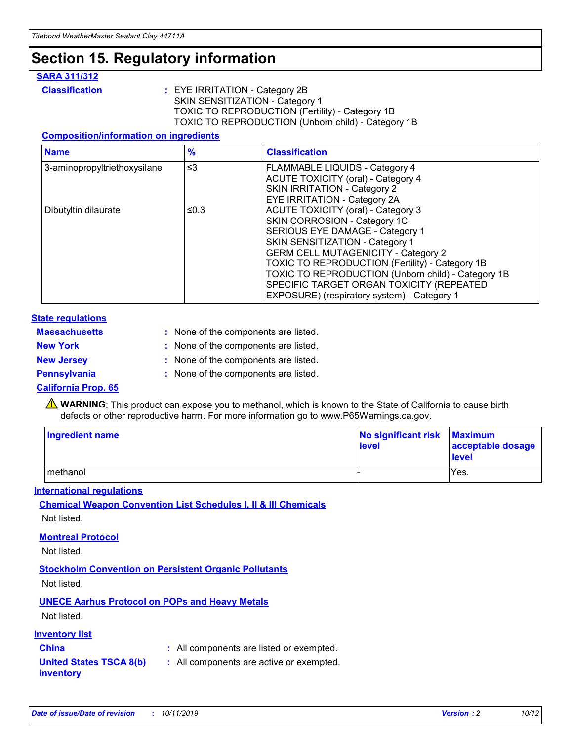## **Section 15. Regulatory information**

#### **SARA 311/312**

**Classification :** EYE IRRITATION - Category 2B SKIN SENSITIZATION - Category 1 TOXIC TO REPRODUCTION (Fertility) - Category 1B TOXIC TO REPRODUCTION (Unborn child) - Category 1B

#### **Composition/information on ingredients**

| <b>Name</b>                  | $\frac{9}{6}$ | <b>Classification</b>                                                                                            |
|------------------------------|---------------|------------------------------------------------------------------------------------------------------------------|
| 3-aminopropyltriethoxysilane | $\leq$ 3      | <b>FLAMMABLE LIQUIDS - Category 4</b><br><b>ACUTE TOXICITY (oral) - Category 4</b>                               |
|                              |               | SKIN IRRITATION - Category 2<br>EYE IRRITATION - Category 2A                                                     |
| Dibutyltin dilaurate         | ≤0.3          | ACUTE TOXICITY (oral) - Category 3<br>SKIN CORROSION - Category 1C                                               |
|                              |               | SERIOUS EYE DAMAGE - Category 1<br>SKIN SENSITIZATION - Category 1<br><b>GERM CELL MUTAGENICITY - Category 2</b> |
|                              |               | TOXIC TO REPRODUCTION (Fertility) - Category 1B<br>TOXIC TO REPRODUCTION (Unborn child) - Category 1B            |
|                              |               | SPECIFIC TARGET ORGAN TOXICITY (REPEATED<br>EXPOSURE) (respiratory system) - Category 1                          |

#### **State regulations**

| <b>Massachusetts</b> | : None of the components are listed. |
|----------------------|--------------------------------------|
| <b>New York</b>      | : None of the components are listed. |
| <b>New Jersey</b>    | : None of the components are listed. |
| <b>Pennsylvania</b>  | : None of the components are listed. |

#### **California Prop. 65**

**A** WARNING: This product can expose you to methanol, which is known to the State of California to cause birth defects or other reproductive harm. For more information go to www.P65Warnings.ca.gov.

| <b>Ingredient name</b> | No significant risk Maximum<br>level | acceptable dosage<br>level |
|------------------------|--------------------------------------|----------------------------|
| methanol               |                                      | Yes.                       |

#### **International regulations**

**Chemical Weapon Convention List Schedules I, II & III Chemicals** Not listed.

#### **Montreal Protocol**

Not listed.

#### **Stockholm Convention on Persistent Organic Pollutants**

Not listed.

### **UNECE Aarhus Protocol on POPs and Heavy Metals**

Not listed.

#### **Inventory list**

### **China :** All components are listed or exempted.

**United States TSCA 8(b) inventory :** All components are active or exempted.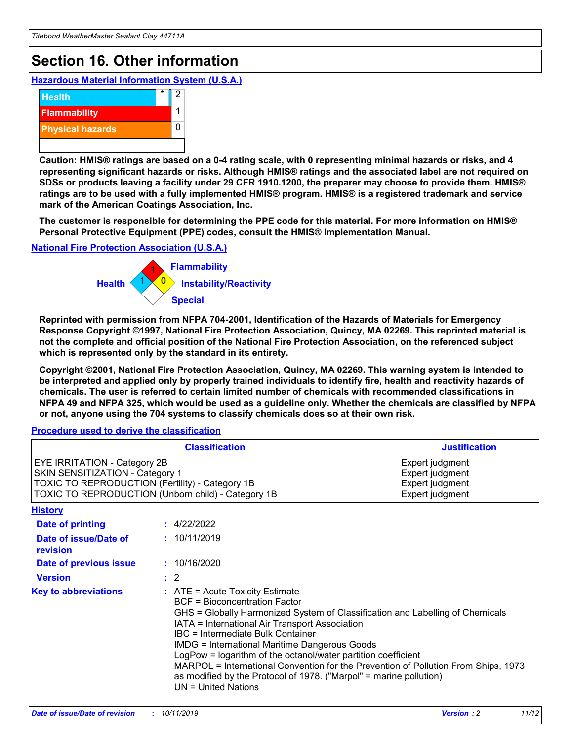## **Section 16. Other information**

**Hazardous Material Information System (U.S.A.)**



**Caution: HMIS® ratings are based on a 0-4 rating scale, with 0 representing minimal hazards or risks, and 4 representing significant hazards or risks. Although HMIS® ratings and the associated label are not required on SDSs or products leaving a facility under 29 CFR 1910.1200, the preparer may choose to provide them. HMIS® ratings are to be used with a fully implemented HMIS® program. HMIS® is a registered trademark and service mark of the American Coatings Association, Inc.**

**The customer is responsible for determining the PPE code for this material. For more information on HMIS® Personal Protective Equipment (PPE) codes, consult the HMIS® Implementation Manual.**

#### **National Fire Protection Association (U.S.A.)**



**Reprinted with permission from NFPA 704-2001, Identification of the Hazards of Materials for Emergency Response Copyright ©1997, National Fire Protection Association, Quincy, MA 02269. This reprinted material is not the complete and official position of the National Fire Protection Association, on the referenced subject which is represented only by the standard in its entirety.**

**Copyright ©2001, National Fire Protection Association, Quincy, MA 02269. This warning system is intended to be interpreted and applied only by properly trained individuals to identify fire, health and reactivity hazards of chemicals. The user is referred to certain limited number of chemicals with recommended classifications in NFPA 49 and NFPA 325, which would be used as a guideline only. Whether the chemicals are classified by NFPA or not, anyone using the 704 systems to classify chemicals does so at their own risk.**

#### **Procedure used to derive the classification**

| <b>Classification</b>                                                                                                                                                    |                                                                                                                                                                                                                                                                                                                                                                                                                                                                                                                                                               | <b>Justification</b>                                                     |
|--------------------------------------------------------------------------------------------------------------------------------------------------------------------------|---------------------------------------------------------------------------------------------------------------------------------------------------------------------------------------------------------------------------------------------------------------------------------------------------------------------------------------------------------------------------------------------------------------------------------------------------------------------------------------------------------------------------------------------------------------|--------------------------------------------------------------------------|
| EYE IRRITATION - Category 2B<br>SKIN SENSITIZATION - Category 1<br>TOXIC TO REPRODUCTION (Fertility) - Category 1B<br>TOXIC TO REPRODUCTION (Unborn child) - Category 1B |                                                                                                                                                                                                                                                                                                                                                                                                                                                                                                                                                               | Expert judgment<br>Expert judgment<br>Expert judgment<br>Expert judgment |
| <b>History</b>                                                                                                                                                           |                                                                                                                                                                                                                                                                                                                                                                                                                                                                                                                                                               |                                                                          |
| Date of printing                                                                                                                                                         | : 4/22/2022                                                                                                                                                                                                                                                                                                                                                                                                                                                                                                                                                   |                                                                          |
| Date of issue/Date of<br>revision                                                                                                                                        | : 10/11/2019                                                                                                                                                                                                                                                                                                                                                                                                                                                                                                                                                  |                                                                          |
| Date of previous issue                                                                                                                                                   | : 10/16/2020                                                                                                                                                                                                                                                                                                                                                                                                                                                                                                                                                  |                                                                          |
| <b>Version</b>                                                                                                                                                           | $\therefore$ 2                                                                                                                                                                                                                                                                                                                                                                                                                                                                                                                                                |                                                                          |
| <b>Key to abbreviations</b>                                                                                                                                              | $:$ ATE = Acute Toxicity Estimate<br><b>BCF</b> = Bioconcentration Factor<br>GHS = Globally Harmonized System of Classification and Labelling of Chemicals<br>IATA = International Air Transport Association<br>IBC = Intermediate Bulk Container<br><b>IMDG = International Maritime Dangerous Goods</b><br>LogPow = logarithm of the octanol/water partition coefficient<br>MARPOL = International Convention for the Prevention of Pollution From Ships, 1973<br>as modified by the Protocol of 1978. ("Marpol" = marine pollution)<br>UN = United Nations |                                                                          |